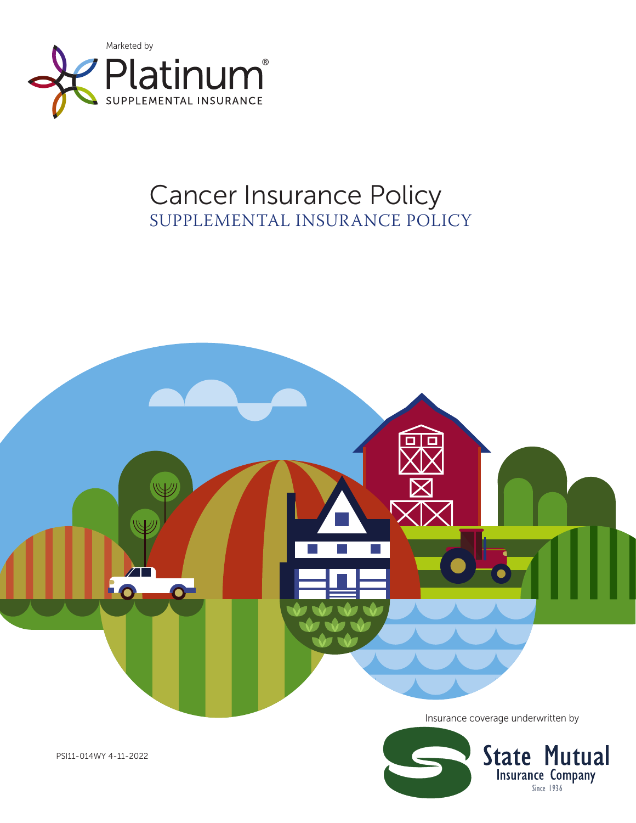

# Cancer Insurance Policy SUPPLEMENTAL INSURANCE POLICY





PSI11-014WY 4-11-2022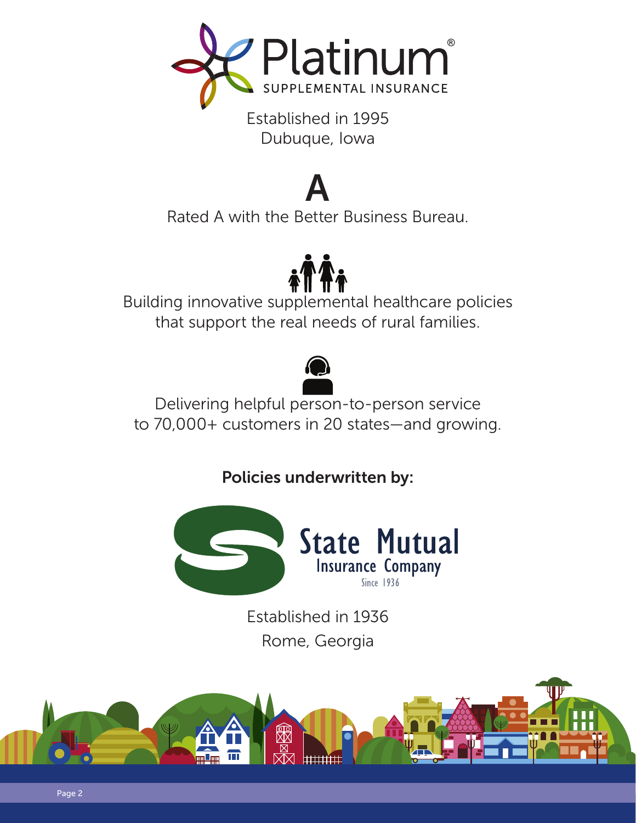

Established in 1995 Dubuque, Iowa

# A

Rated A with the Better Business Bureau.



Building innovative supplemental healthcare policies that support the real needs of rural families.



Delivering helpful person-to-person service to 70,000+ customers in 20 states—and growing.

Policies underwritten by:



Established in 1936 Rome, Georgia

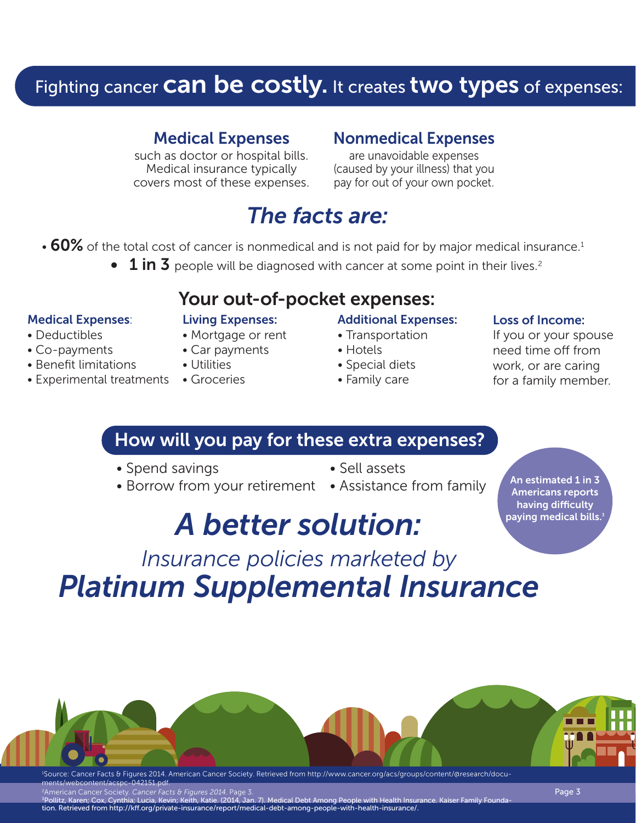# Fighting cancer **Can be costly.** It creates two types of expenses:

### Medical Expenses

such as doctor or hospital bills. Medical insurance typically covers most of these expenses.

### Nonmedical Expenses

are unavoidable expenses (caused by your illness) that you pay for out of your own pocket.

# *The facts are:*

- $\cdot$  60% of the total cost of cancer is nonmedical and is not paid for by major medical insurance.<sup>1</sup>
	- $1$  in 3 people will be diagnosed with cancer at some point in their lives.<sup>2</sup>

### Your out-of-pocket expenses:

### Medical Expenses:

• Deductibles • Co-payments • Benefit limitations

### Living Expenses:

- Mortgage or rent
- Car payments

### • Utilities

• Experimental treatments • Groceries

### Additional Expenses:

#### • Transportation • Hotels

- Special diets
- Family care

### Loss of Income:

If you or your spouse need time off from work, or are caring for a family member.

> An estimated 1 in 3 Americans reports having difficulty paying medical bills. $^{\mathrm{3}}$

### How will you pay for these extra expenses?

- Spend savings Sell assets
	-
- Borrow from your retirement Assistance from family
- 

# *A better solution:*

# *Insurance policies marketed by Platinum Supplemental Insurance*



ments/webcontent/acspc-042151.pdf.

merican Cancer Society. *Cancer Facts*<br>Sllitz Karen: Cox. Cynthia: Lucia. Kevin

 $\alpha$  (2014, Jan. 7). Medical Debt Among People with Health Insurance. Kaiser Family Founda tion. Retrieved from http://kff.org/private-insurance/report/medical-debt-among-people-with-health-insurance/.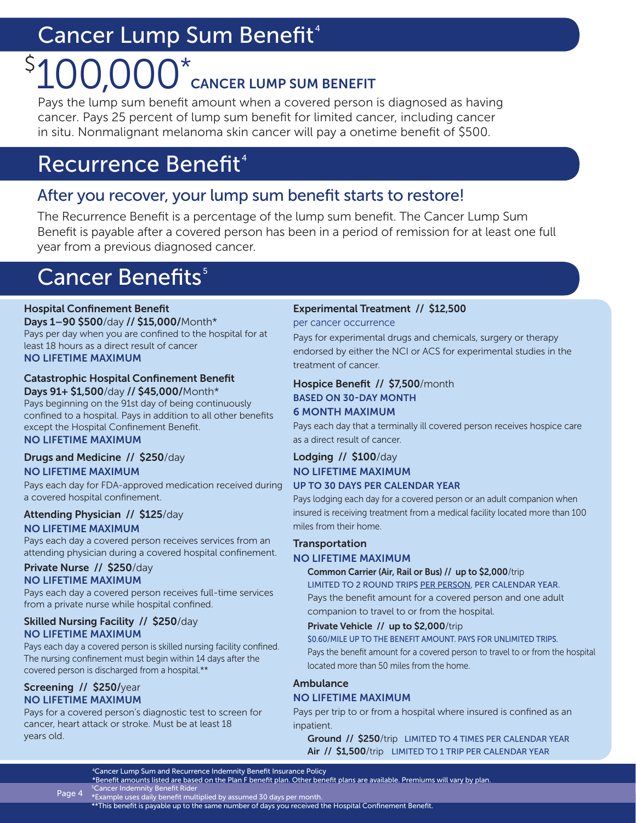# Cancer Lump Sum Benefit<sup>4</sup>

## 100,000\* CANCER LUMP SUM BENEFIT  $\zeta$

Pays the lump sum benefit amount when a covered person is diagnosed as having cancer. Pays 25 percent of lump sum benefit for limited cancer, including cancer in situ. Nonmalignant melanoma skin cancer will pay a onetime benefit of \$500.

# Recurrence Benefit<sup>4</sup>

### After you recover, your lump sum benefit starts to restore!

The Recurrence Benefit is a percentage of the lump sum benefit. The Cancer Lump Sum Benefit is payable after a covered person has been in a period of remission for at least one full year from a previous diagnosed cancer.

# **Cancer Benefits**<sup>5</sup>

### Hospital Confinement Benefit

Days 1–90 \$500/day // \$15,000/Month\* Pays per day when you are confined to the hospital for at least 18 hours as a direct result of cancer NO LIFETIME MAXIMUM

#### Catastrophic Hospital Confinement Benefit Days 91+ \$1,500/day // \$45,000/Month\*

Pays beginning on the 91st day of being continuously confined to a hospital. Pays in addition to all other benefits except the Hospital Confinement Benefit. NO LIFETIME MAXIMUM

#### Drugs and Medicine // \$250/day NO LIFETIME MAXIMUM

Pays each day for FDA-approved medication received during a covered hospital confinement.

### Attending Physician // \$125/day

NO LIFETIME MAXIMUM

Pays each day a covered person receives services from an attending physician during a covered hospital confinement.

#### Private Nurse // \$250/day NO LIFETIME MAXIMUM

Pays each day a covered person receives full-time services from a private nurse while hospital confined.

### Skilled Nursing Facility // \$250/day NO LIFETIME MAXIMUM

Pays each day a covered person is skilled nursing facility confined. The nursing confinement must begin within 14 days after the covered person is discharged from a hospital.\*\*

#### Screening // \$250/year NO LIFETIME MAXIMUM

Pays for a covered person's diagnostic test to screen for cancer, heart attack or stroke. Must be at least 18 years old.

### Experimental Treatment // \$12,500

per cancer occurrence

Pays for experimental drugs and chemicals, surgery or therapy endorsed by either the NCI or ACS for experimental studies in the treatment of cancer.

#### Hospice Benefit // \$7,500/month BASED ON 30-DAY MONTH 6 MONTH MAXIMUM

Pays each day that a terminally ill covered person receives hospice care as a direct result of cancer.

#### Lodging // \$100/day NO LIFETIME MAXIMUM UP TO 30 DAYS PER CALENDAR YEAR

Pays lodging each day for a covered person or an adult companion when insured is receiving treatment from a medical facility located more than 100

### miles from their home. **Transportation**

### NO LIFETIME MAXIMUM

Common Carrier (Air, Rail or Bus) // up to \$2,000/trip

LIMITED TO 2 ROUND TRIPS PER PERSON, PER CALENDAR YEAR. Pays the benefit amount for a covered person and one adult companion to travel to or from the hospital.

### Private Vehicle // up to \$2,000/trip

\$0.60/MILE UP TO THE BENEFIT AMOUNT. PAYS FOR UNLIMITED TRIPS. Pays the benefit amount for a covered person to travel to or from the hospital located more than 50 miles from the home.

### Ambulance

### NO LIFETIME MAXIMUM

Pays per trip to or from a hospital where insured is confined as an inpatient.

Ground // \$250/trip LIMITED TO 4 TIMES PER CALENDAR YEAR Air // \$1,500/trip LIMITED TO 1 TRIP PER CALENDAR YEAR

### 4Cancer Lump Sum and Recurrence Indemnity Benefit Insurance Policy

\*Benefit amounts listed are based on the Plan F benefit plan. Other benefit plans are available. Premiums will vary by plan.

**Page 4** Scancer Indemnity Benefit Rider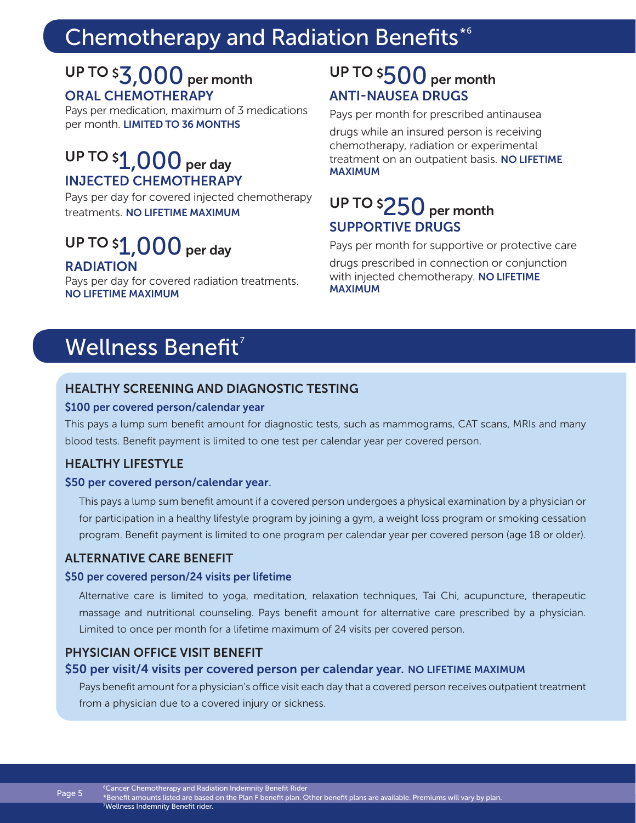# Chemotherapy and Radiation Benefits<sup>\*6</sup>

### UP TO  $$3,000$  per month ORAL CHEMOTHERAPY

Pays per medication, maximum of 3 medications per month. LIMITED TO 36 MONTHS

### UP TO  $$1,000$  per day INJECTED CHEMOTHERAPY

Pays per day for covered injected chemotherapy treatments. NO LIFETIME MAXIMUM

### UP TO  $\mathfrak{sl}$  ,  $000$  per day RADIATION

Pays per day for covered radiation treatments. NO LIFETIME MAXIMUM

### UP TO \$ $500$  per month ANTI-NAUSEA DRUGS

Pays per month for prescribed antinausea

drugs while an insured person is receiving chemotherapy, radiation or experimental treatment on an outpatient basis. NO LIFETIME MAXIMUM

### UP TO \$ $250$  per month SUPPORTIVE DRUGS

Pays per month for supportive or protective care

drugs prescribed in connection or conjunction with injected chemotherapy. NO LIFETIME MAXIMUM

# Wellness Benefit<sup>7</sup>

### HEALTHY SCREENING AND DIAGNOSTIC TESTING

#### \$100 per covered person/calendar year

This pays a lump sum benefit amount for diagnostic tests, such as mammograms, CAT scans, MRIs and many blood tests. Benefit payment is limited to one test per calendar year per covered person.

### HEALTHY LIFESTYLE

Page 5

#### \$50 per covered person/calendar year.

This pays a lump sum benefit amount if a covered person undergoes a physical examination by a physician or for participation in a healthy lifestyle program by joining a gym, a weight loss program or smoking cessation program. Benefit payment is limited to one program per calendar year per covered person (age 18 or older).

### ALTERNATIVE CARE BENEFIT

#### \$50 per covered person/24 visits per lifetime

Alternative care is limited to yoga, meditation, relaxation techniques, Tai Chi, acupuncture, therapeutic massage and nutritional counseling. Pays benefit amount for alternative care prescribed by a physician. Limited to once per month for a lifetime maximum of 24 visits per covered person.

### PHYSICIAN OFFICE VISIT BENEFIT

### \$50 per visit/4 visits per covered person per calendar year. NO LIFETIME MAXIMUM

Pays benefit amount for a physician's office visit each day that a covered person receives outpatient treatment from a physician due to a covered injury or sickness.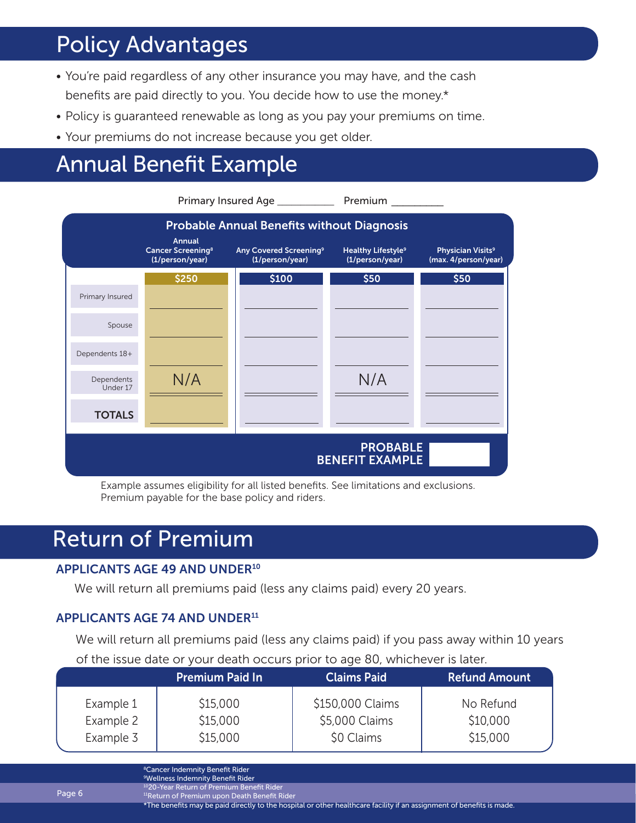# Policy Advantages

- You're paid regardless of any other insurance you may have, and the cash benefits are paid directly to you. You decide how to use the money.\*
- Policy is guaranteed renewable as long as you pay your premiums on time.
- Your premiums do not increase because you get older.

# Annual Benefit Example



Example assumes eligibility for all listed benefits. See limitations and exclusions. Premium payable for the base policy and riders.

## Return of Premium

### APPLICANTS AGE 49 AND UNDER10

We will return all premiums paid (less any claims paid) every 20 years.

### APPLICANTS AGE 74 AND UNDER<sup>11</sup>

We will return all premiums paid (less any claims paid) if you pass away within 10 years

|                                     | Of the issue date of your death occurs prior to age ou, whichever is taten. |                                  |                                                  |                                   |  |  |  |  |  |
|-------------------------------------|-----------------------------------------------------------------------------|----------------------------------|--------------------------------------------------|-----------------------------------|--|--|--|--|--|
|                                     |                                                                             | <b>Premium Paid In</b>           | <b>Claims Paid</b>                               | <b>Refund Amount</b>              |  |  |  |  |  |
| Example 1<br>Example 2<br>Example 3 |                                                                             | \$15,000<br>\$15,000<br>\$15,000 | \$150,000 Claims<br>\$5,000 Claims<br>\$0 Claims | No Refund<br>\$10,000<br>\$15,000 |  |  |  |  |  |

### of the issue date or your death occurs prior to age 80, whichever is later.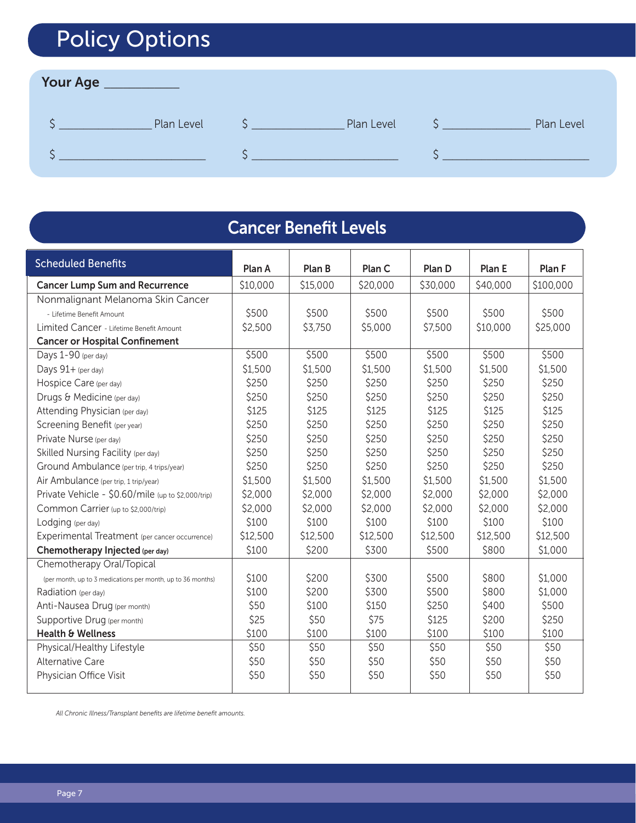# Policy Options

### Your Age \_\_\_\_\_\_\_\_\_\_\_\_

| Plan Level | Plan Level | Plan Level |
|------------|------------|------------|
|            |            |            |

| <b>Cancer Benefit Levels</b>                                |          |          |          |          |          |           |  |  |  |  |  |  |
|-------------------------------------------------------------|----------|----------|----------|----------|----------|-----------|--|--|--|--|--|--|
| <b>Scheduled Benefits</b>                                   | Plan A   | Plan B   | Plan C   | Plan D   | Plan E   | Plan F    |  |  |  |  |  |  |
| <b>Cancer Lump Sum and Recurrence</b>                       | \$10,000 | \$15,000 | \$20,000 | \$30,000 | \$40,000 | \$100,000 |  |  |  |  |  |  |
| Nonmalignant Melanoma Skin Cancer                           |          |          |          |          |          |           |  |  |  |  |  |  |
| - Lifetime Benefit Amount                                   | \$500    | \$500    | \$500    | \$500    | \$500    | \$500     |  |  |  |  |  |  |
| Limited Cancer - Lifetime Benefit Amount                    | \$2,500  | \$3,750  | \$5,000  | \$7,500  | \$10,000 | \$25,000  |  |  |  |  |  |  |
| <b>Cancer or Hospital Confinement</b>                       |          |          |          |          |          |           |  |  |  |  |  |  |
| Days 1-90 (per day)                                         | \$500    | \$500    | \$500    | \$500    | \$500    | \$500     |  |  |  |  |  |  |
| Days 91+ (per day)                                          | \$1,500  | \$1,500  | \$1,500  | \$1,500  | \$1,500  | \$1,500   |  |  |  |  |  |  |
| Hospice Care (per day)                                      | \$250    | \$250    | \$250    | \$250    | \$250    | \$250     |  |  |  |  |  |  |
| Drugs & Medicine (per day)                                  | \$250    | \$250    | \$250    | \$250    | \$250    | \$250     |  |  |  |  |  |  |
| Attending Physician (per day)                               | \$125    | \$125    | \$125    | \$125    | \$125    | \$125     |  |  |  |  |  |  |
| Screening Benefit (per year)                                | \$250    | \$250    | \$250    | \$250    | \$250    | \$250     |  |  |  |  |  |  |
| Private Nurse (per day)                                     | \$250    | \$250    | \$250    | \$250    | \$250    | \$250     |  |  |  |  |  |  |
| Skilled Nursing Facility (per day)                          | \$250    | \$250    | \$250    | \$250    | \$250    | \$250     |  |  |  |  |  |  |
| Ground Ambulance (per trip, 4 trips/year)                   | \$250    | \$250    | \$250    | \$250    | \$250    | \$250     |  |  |  |  |  |  |
| Air Ambulance (per trip, 1 trip/year)                       | \$1,500  | \$1,500  | \$1,500  | \$1,500  | \$1,500  | \$1,500   |  |  |  |  |  |  |
| Private Vehicle - \$0.60/mile (up to \$2,000/trip)          | \$2,000  | \$2,000  | \$2,000  | \$2,000  | \$2,000  | \$2,000   |  |  |  |  |  |  |
| Common Carrier (up to \$2,000/trip)                         | \$2,000  | \$2,000  | \$2,000  | \$2,000  | \$2,000  | \$2,000   |  |  |  |  |  |  |
| Lodging (per day)                                           | \$100    | \$100    | \$100    | \$100    | \$100    | \$100     |  |  |  |  |  |  |
| Experimental Treatment (per cancer occurrence)              | \$12,500 | \$12,500 | \$12,500 | \$12,500 | \$12,500 | \$12,500  |  |  |  |  |  |  |
| Chemotherapy Injected (per day)                             | \$100    | \$200    | \$300    | \$500    | \$800    | \$1,000   |  |  |  |  |  |  |
| Chemotherapy Oral/Topical                                   |          |          |          |          |          |           |  |  |  |  |  |  |
| (per month, up to 3 medications per month, up to 36 months) | \$100    | \$200    | \$300    | \$500    | \$800    | \$1,000   |  |  |  |  |  |  |
| Radiation (per day)                                         | \$100    | \$200    | \$300    | \$500    | \$800    | \$1,000   |  |  |  |  |  |  |
| Anti-Nausea Drug (per month)                                | \$50     | \$100    | \$150    | \$250    | \$400    | \$500     |  |  |  |  |  |  |
| Supportive Drug (per month)                                 | \$25     | \$50     | \$75     | \$125    | \$200    | \$250     |  |  |  |  |  |  |
| Health & Wellness                                           | \$100    | \$100    | \$100    | \$100    | \$100    | \$100     |  |  |  |  |  |  |
| Physical/Healthy Lifestyle                                  | \$50     | \$50     | \$50     | \$50     | \$50     | \$50      |  |  |  |  |  |  |
| <b>Alternative Care</b>                                     | \$50     | \$50     | \$50     | \$50     | \$50     | \$50      |  |  |  |  |  |  |
| Physician Office Visit                                      | \$50     | \$50     | \$50     | \$50     | \$50     | \$50      |  |  |  |  |  |  |

*All Chronic Illness/Transplant benefits are lifetime benefit amounts.*